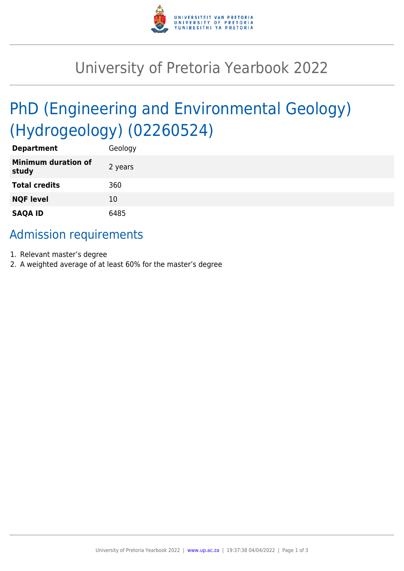

## University of Pretoria Yearbook 2022

# PhD (Engineering and Environmental Geology) (Hydrogeology) (02260524)

| <b>Department</b>                   | Geology |
|-------------------------------------|---------|
| <b>Minimum duration of</b><br>study | 2 years |
| <b>Total credits</b>                | 360     |
| <b>NQF level</b>                    | 10      |
| <b>SAQA ID</b>                      | 6485    |

## Admission requirements

- 1. Relevant master's degree
- 2. A weighted average of at least 60% for the master's degree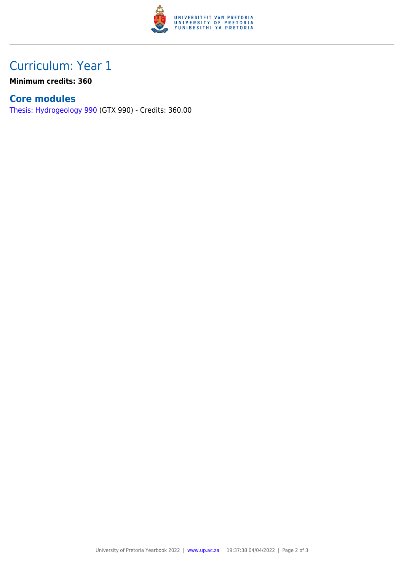

## Curriculum: Year 1

**Minimum credits: 360**

#### **Core modules**

[Thesis: Hydrogeology 990](https://www.up.ac.za/parents/yearbooks/2022/modules/view/GTX 990) (GTX 990) - Credits: 360.00